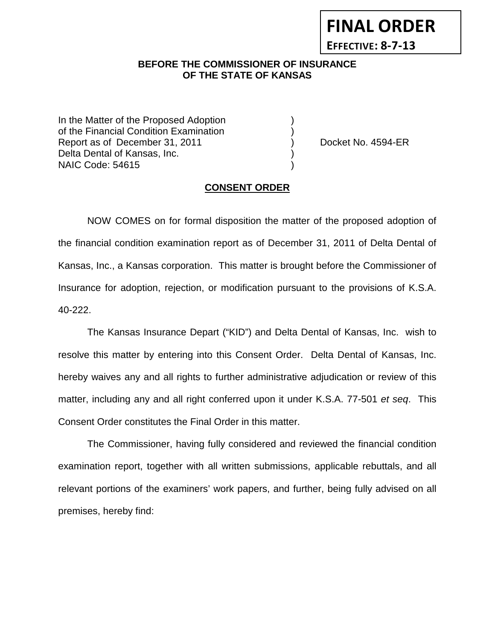# **FINAL ORDER**

**EFFECTIVE: 8-7-13**

### **BEFORE THE COMMISSIONER OF INSURANCE OF THE STATE OF KANSAS**

In the Matter of the Proposed Adoption of the Financial Condition Examination ) Report as of December 31, 2011 (and Separate Australian Cocket No. 4594-ER Delta Dental of Kansas, Inc. NAIC Code: 54615 )

#### **CONSENT ORDER**

NOW COMES on for formal disposition the matter of the proposed adoption of the financial condition examination report as of December 31, 2011 of Delta Dental of Kansas, Inc., a Kansas corporation. This matter is brought before the Commissioner of Insurance for adoption, rejection, or modification pursuant to the provisions of K.S.A. 40-222.

The Kansas Insurance Depart ("KID") and Delta Dental of Kansas, Inc. wish to resolve this matter by entering into this Consent Order. Delta Dental of Kansas, Inc. hereby waives any and all rights to further administrative adjudication or review of this matter, including any and all right conferred upon it under K.S.A. 77-501 *et seq*. This Consent Order constitutes the Final Order in this matter.

The Commissioner, having fully considered and reviewed the financial condition examination report, together with all written submissions, applicable rebuttals, and all relevant portions of the examiners' work papers, and further, being fully advised on all premises, hereby find: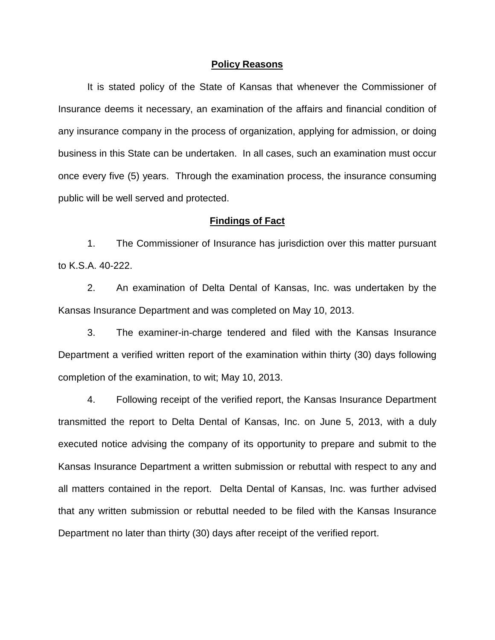#### **Policy Reasons**

It is stated policy of the State of Kansas that whenever the Commissioner of Insurance deems it necessary, an examination of the affairs and financial condition of any insurance company in the process of organization, applying for admission, or doing business in this State can be undertaken. In all cases, such an examination must occur once every five (5) years. Through the examination process, the insurance consuming public will be well served and protected.

#### **Findings of Fact**

1. The Commissioner of Insurance has jurisdiction over this matter pursuant to K.S.A. 40-222.

2. An examination of Delta Dental of Kansas, Inc. was undertaken by the Kansas Insurance Department and was completed on May 10, 2013.

3. The examiner-in-charge tendered and filed with the Kansas Insurance Department a verified written report of the examination within thirty (30) days following completion of the examination, to wit; May 10, 2013.

4. Following receipt of the verified report, the Kansas Insurance Department transmitted the report to Delta Dental of Kansas, Inc. on June 5, 2013, with a duly executed notice advising the company of its opportunity to prepare and submit to the Kansas Insurance Department a written submission or rebuttal with respect to any and all matters contained in the report. Delta Dental of Kansas, Inc. was further advised that any written submission or rebuttal needed to be filed with the Kansas Insurance Department no later than thirty (30) days after receipt of the verified report.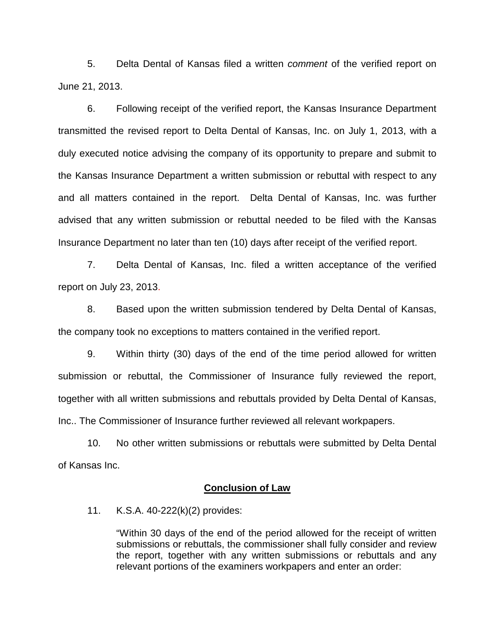5. Delta Dental of Kansas filed a written *comment* of the verified report on June 21, 2013.

6. Following receipt of the verified report, the Kansas Insurance Department transmitted the revised report to Delta Dental of Kansas, Inc. on July 1, 2013, with a duly executed notice advising the company of its opportunity to prepare and submit to the Kansas Insurance Department a written submission or rebuttal with respect to any and all matters contained in the report. Delta Dental of Kansas, Inc. was further advised that any written submission or rebuttal needed to be filed with the Kansas Insurance Department no later than ten (10) days after receipt of the verified report.

7. Delta Dental of Kansas, Inc. filed a written acceptance of the verified report on July 23, 2013.

8. Based upon the written submission tendered by Delta Dental of Kansas, the company took no exceptions to matters contained in the verified report.

9. Within thirty (30) days of the end of the time period allowed for written submission or rebuttal, the Commissioner of Insurance fully reviewed the report, together with all written submissions and rebuttals provided by Delta Dental of Kansas, Inc.. The Commissioner of Insurance further reviewed all relevant workpapers.

10. No other written submissions or rebuttals were submitted by Delta Dental of Kansas Inc.

#### **Conclusion of Law**

11. K.S.A. 40-222(k)(2) provides:

"Within 30 days of the end of the period allowed for the receipt of written submissions or rebuttals, the commissioner shall fully consider and review the report, together with any written submissions or rebuttals and any relevant portions of the examiners workpapers and enter an order: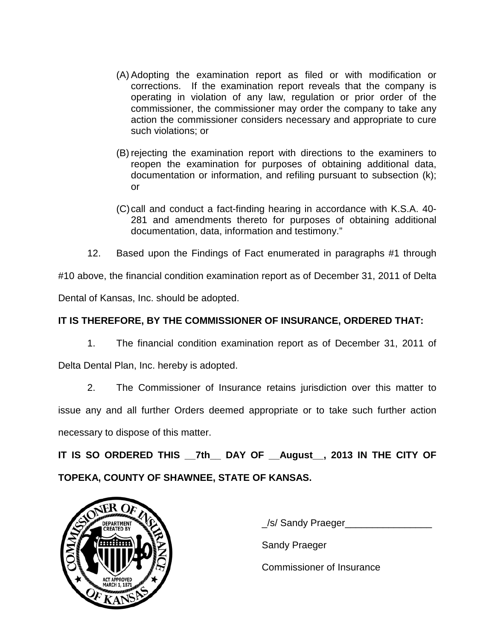- (A) Adopting the examination report as filed or with modification or corrections. If the examination report reveals that the company is operating in violation of any law, regulation or prior order of the commissioner, the commissioner may order the company to take any action the commissioner considers necessary and appropriate to cure such violations; or
- (B) rejecting the examination report with directions to the examiners to reopen the examination for purposes of obtaining additional data, documentation or information, and refiling pursuant to subsection (k); or
- (C)call and conduct a fact-finding hearing in accordance with K.S.A. 40- 281 and amendments thereto for purposes of obtaining additional documentation, data, information and testimony."
- 12. Based upon the Findings of Fact enumerated in paragraphs #1 through

#10 above, the financial condition examination report as of December 31, 2011 of Delta Dental of Kansas, Inc. should be adopted.

# **IT IS THEREFORE, BY THE COMMISSIONER OF INSURANCE, ORDERED THAT:**

1. The financial condition examination report as of December 31, 2011 of

Delta Dental Plan, Inc. hereby is adopted.

2. The Commissioner of Insurance retains jurisdiction over this matter to issue any and all further Orders deemed appropriate or to take such further action necessary to dispose of this matter.

**IT IS SO ORDERED THIS \_\_7th\_\_ DAY OF \_\_August\_\_, 2013 IN THE CITY OF TOPEKA, COUNTY OF SHAWNEE, STATE OF KANSAS.**



\_/s/ Sandy Praeger\_\_\_\_\_\_\_\_\_\_\_\_\_\_\_\_

Sandy Praeger

Commissioner of Insurance